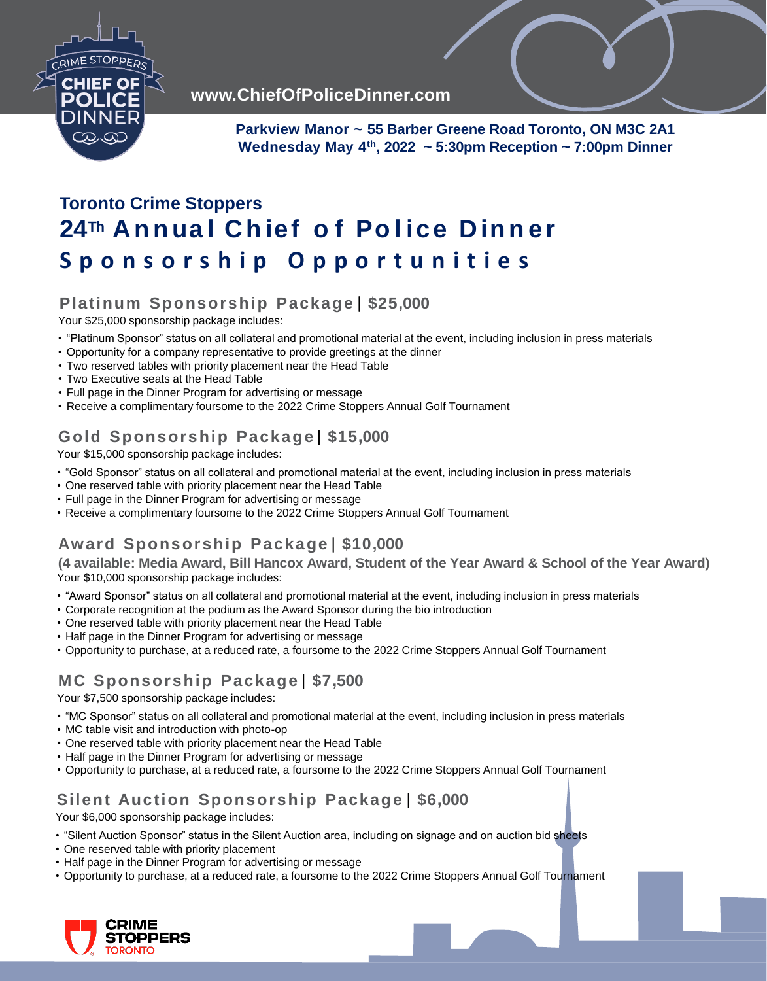

**www.ChiefOfPoliceDinner.com**

**Parkview Manor ~ 55 Barber Greene Road Toronto, ON M3C 2A1 Wednesday May 4th, 2022 ~ 5:30pm Reception ~ 7:00pm Dinner**

# **Toronto Crime Stoppers 24Th Annua l Ch ief o f Po l ice D in n er S p o n s o r s h i p O p p o r t u n i t i e s**

#### **Platinum Sponsorship Package** | **\$25,000**

Your \$25,000 sponsorship package includes:

- "Platinum Sponsor" status on all collateral and promotional material at the event, including inclusion in press materials
- Opportunity for a company representative to provide greetings at the dinner
- Two reserved tables with priority placement near the Head Table
- Two Executive seats at the Head Table
- Full page in the Dinner Program for advertising or message
- Receive a complimentary foursome to the 2022 Crime Stoppers Annual Golf Tournament

## **Gold Sponsorship Package**| **\$15,000**

Your \$15,000 sponsorship package includes:

- "Gold Sponsor" status on all collateral and promotional material at the event, including inclusion in press materials
- One reserved table with priority placement near the Head Table
- Full page in the Dinner Program for advertising or message
- Receive a complimentary foursome to the 2022 Crime Stoppers Annual Golf Tournament

## **Award Sponsorship Package**| **\$10,000**

**(4 available: Media Award, Bill Hancox Award, Student of the Year Award & School of the Year Award)** Your \$10,000 sponsorship package includes:

- "Award Sponsor" status on all collateral and promotional material at the event, including inclusion in press materials
- Corporate recognition at the podium as the Award Sponsor during the bio introduction
- One reserved table with priority placement near the Head Table
- Half page in the Dinner Program for advertising or message
- Opportunity to purchase, at a reduced rate, a foursome to the 2022 Crime Stoppers Annual Golf Tournament

# **MC Sponsorship Package**| **\$7,500**

Your \$7,500 sponsorship package includes:

- "MC Sponsor" status on all collateral and promotional material at the event, including inclusion in press materials
- MC table visit and introduction with photo-op
- One reserved table with priority placement near the Head Table
- Half page in the Dinner Program for advertising or message
- Opportunity to purchase, at a reduced rate, a foursome to the 2022 Crime Stoppers Annual Golf Tournament

# **Silent Auction Sponsorship Package** | **\$6,000**

Your \$6,000 sponsorship package includes:

- "Silent Auction Sponsor" status in the Silent Auction area, including on signage and on auction bid sheets
- One reserved table with priority placement
- Half page in the Dinner Program for advertising or message
- Opportunity to purchase, at a reduced rate, a foursome to the 2022 Crime Stoppers Annual Golf Tournament

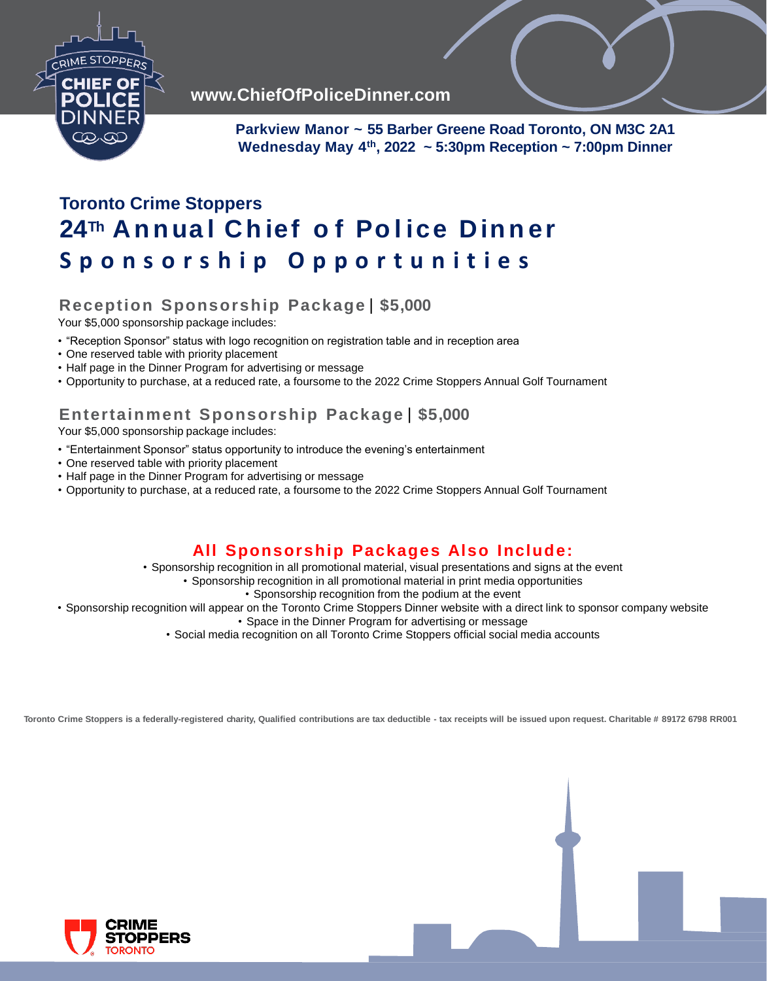

**www.ChiefOfPoliceDinner.com**

**Parkview Manor ~ 55 Barber Greene Road Toronto, ON M3C 2A1 Wednesday May 4th, 2022 ~ 5:30pm Reception ~ 7:00pm Dinner**

# **Toronto Crime Stoppers 24Th Annua l Ch ief o f Po l ice D in n er S p o n s o r s h i p O p p o r t u n i t i e s**

#### **Reception Sponsorship Package** | **\$5,000**

Your \$5,000 sponsorship package includes:

- "Reception Sponsor" status with logo recognition on registration table and in reception area
- One reserved table with priority placement
- Half page in the Dinner Program for advertising or message
- Opportunity to purchase, at a reduced rate, a foursome to the 2022 Crime Stoppers Annual Golf Tournament

### **Entertainment Sponsorship Package** | **\$5,000**

Your \$5,000 sponsorship package includes:

- "Entertainment Sponsor" status opportunity to introduce the evening's entertainment
- One reserved table with priority placement
- Half page in the Dinner Program for advertising or message
- Opportunity to purchase, at a reduced rate, a foursome to the 2022 Crime Stoppers Annual Golf Tournament

### **All Sponsorship Packages Also Include:**

• Sponsorship recognition in all promotional material, visual presentations and signs at the event

• Sponsorship recognition in all promotional material in print media opportunities

• Sponsorship recognition from the podium at the event

• Sponsorship recognition will appear on the Toronto Crime Stoppers Dinner website with a direct link to sponsor company website

• Space in the Dinner Program for advertising or message

• Social media recognition on all Toronto Crime Stoppers official social media accounts

Toronto Crime Stoppers is a federally-registered charity, Qualified contributions are tax deductible - tax receipts will be issued upon request. Charitable # 89172 6798 RR001